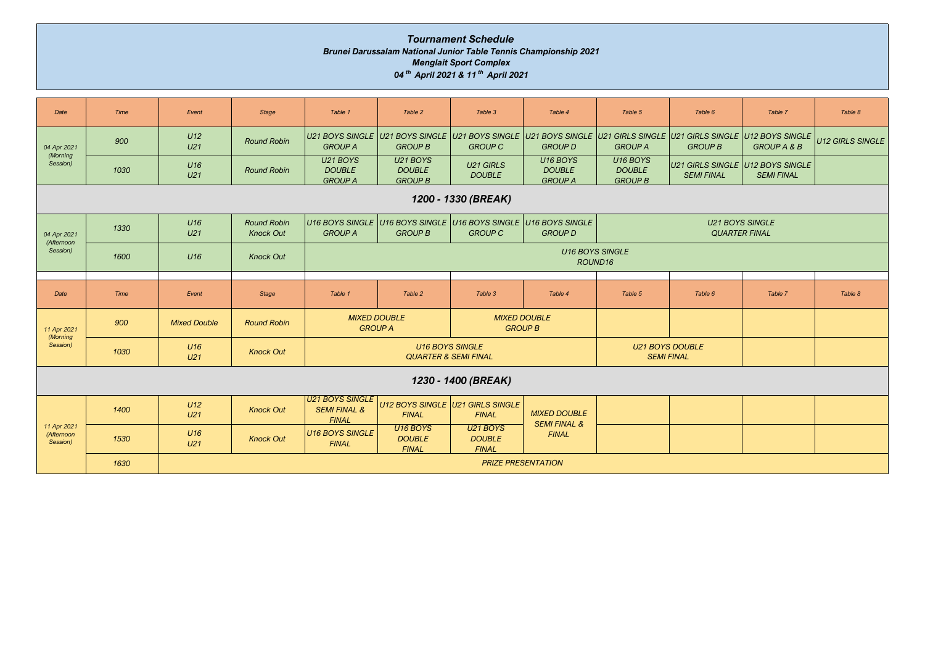#### *Tournament Schedule Brunei Darussalam National Junior Table Tennis Championship 2021 Menglait Sport Complex 04 th April 2021 & 11 th April 2021*

| Date                                  | <b>Time</b> | Event                  | <b>Stage</b>                           | Table 1                                                    | Table 2                                     | Table 3                                                                                                                             | Table 4                                       | Table 5                                                 | Table 6                                        | Table 7                                               | Table 8                 |
|---------------------------------------|-------------|------------------------|----------------------------------------|------------------------------------------------------------|---------------------------------------------|-------------------------------------------------------------------------------------------------------------------------------------|-----------------------------------------------|---------------------------------------------------------|------------------------------------------------|-------------------------------------------------------|-------------------------|
| 04 Apr 2021                           | 900         | U12<br>U <sub>21</sub> | <b>Round Robin</b>                     | <b>GROUP A</b>                                             | <b>GROUP B</b>                              | U21 BOYS SINGLE U21 BOYS SINGLE U21 BOYS SINGLE U21 BOYS SINGLE U21 GIRLS SINGLE U21 GIRLS SINGLE U12 BOYS SINGLE<br><b>GROUP C</b> | <b>GROUP D</b>                                | <b>GROUP A</b>                                          | <b>GROUP B</b>                                 | <b>GROUP A &amp; B</b>                                | <b>U12 GIRLS SINGLE</b> |
| (Morning<br>Session)                  | 1030        | U16<br>U <sub>21</sub> | <b>Round Robin</b>                     | U21 BOYS<br><b>DOUBLE</b><br><b>GROUP A</b>                | U21 BOYS<br><b>DOUBLE</b><br><b>GROUP B</b> | U21 GIRLS<br><b>DOUBLE</b>                                                                                                          | U16 BOYS<br><b>DOUBLE</b><br><b>GROUP A</b>   | U <sub>16</sub> BOYS<br><b>DOUBLE</b><br><b>GROUP B</b> | <b>SEMI FINAL</b>                              | U21 GIRLS SINGLE U12 BOYS SINGLE<br><b>SEMI FINAL</b> |                         |
|                                       |             |                        |                                        |                                                            |                                             | 1200 - 1330 (BREAK)                                                                                                                 |                                               |                                                         |                                                |                                                       |                         |
| 04 Apr 2021<br>(Afternoon             | 1330        | U16<br>U <sub>21</sub> | <b>Round Robin</b><br><b>Knock Out</b> | <b>GROUP A</b>                                             | <b>GROUP B</b>                              | U16 BOYS SINGLE U16 BOYS SINGLE U16 BOYS SINGLE U16 BOYS SINGLE<br><b>GROUP C</b>                                                   | <b>GROUP D</b>                                |                                                         | <b>U21 BOYS SINGLE</b><br><b>QUARTER FINAL</b> |                                                       |                         |
| Session)                              | 1600        | U16                    | <b>Knock Out</b>                       |                                                            |                                             |                                                                                                                                     | <b>U16 BOYS SINGLE</b><br>ROUND <sub>16</sub> |                                                         |                                                |                                                       |                         |
|                                       |             |                        |                                        |                                                            |                                             |                                                                                                                                     |                                               |                                                         |                                                |                                                       |                         |
| Date                                  | Time        | Event                  | <b>Stage</b>                           | Table 1                                                    | Table 2                                     | Table 3                                                                                                                             | Table 4                                       | Table 5                                                 | Table 6                                        | Table 7                                               | Table 8                 |
| 11 Apr 2021<br>(Morning               | 900         | <b>Mixed Double</b>    | <b>Round Robin</b>                     | <b>GROUP A</b>                                             | <b>MIXED DOUBLE</b>                         | <b>MIXED DOUBLE</b><br><b>GROUP B</b>                                                                                               |                                               |                                                         |                                                |                                                       |                         |
| Session)                              | 1030        | U16<br>U <sub>21</sub> | <b>Knock Out</b>                       |                                                            |                                             | <b>U16 BOYS SINGLE</b><br><b>QUARTER &amp; SEMI FINAL</b>                                                                           |                                               | <b>U21 BOYS DOUBLE</b><br><b>SEMI FINAL</b>             |                                                |                                                       |                         |
|                                       |             |                        |                                        |                                                            |                                             | 1230 - 1400 (BREAK)                                                                                                                 |                                               |                                                         |                                                |                                                       |                         |
|                                       | 1400        | U12<br>U21             | <b>Knock Out</b>                       | U21 BOYS SINGLE<br><b>SEMI FINAL &amp;</b><br><b>FINAL</b> | <b>FINAL</b>                                | U12 BOYS SINGLE U21 GIRLS SINGLE<br><b>FINAL</b>                                                                                    | <b>MIXED DOUBLE</b>                           |                                                         |                                                |                                                       |                         |
| 11 Apr 2021<br>(Afternoon<br>Session) | 1530        | U16<br>U <sub>21</sub> | <b>Knock Out</b>                       | <b>U16 BOYS SINGLE</b><br><b>FINAL</b>                     | U16 BOYS<br><b>DOUBLE</b><br><b>FINAL</b>   | U21 BOYS<br><b>DOUBLE</b><br><b>FINAL</b>                                                                                           | <b>SEMI FINAL &amp;</b><br><b>FINAL</b>       |                                                         |                                                |                                                       |                         |
|                                       | 1630        |                        |                                        |                                                            |                                             | <b>PRIZE PRESENTATION</b>                                                                                                           |                                               |                                                         |                                                |                                                       |                         |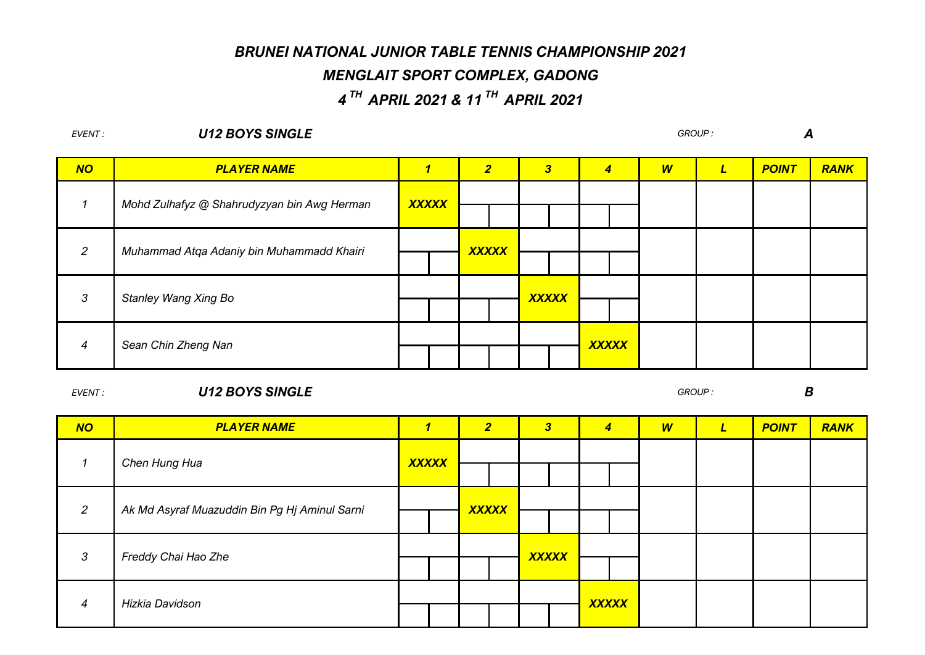*EVENT : U12 BOYS SINGLE GROUP : A*

| <b>NO</b>      | <b>PLAYER NAME</b>                          |              | $\overline{2}$ | $\overline{\mathbf{3}}$ | $\overline{\boldsymbol{4}}$ | W | $\mathbf{L}$ | <b>POINT</b> | <b>RANK</b> |
|----------------|---------------------------------------------|--------------|----------------|-------------------------|-----------------------------|---|--------------|--------------|-------------|
|                | Mohd Zulhafyz @ Shahrudyzyan bin Awg Herman | <b>XXXXX</b> |                |                         |                             |   |              |              |             |
|                |                                             |              |                |                         |                             |   |              |              |             |
|                |                                             |              |                |                         |                             |   |              |              |             |
| $\overline{2}$ | Muhammad Atqa Adaniy bin Muhammadd Khairi   |              | <b>XXXXX</b>   |                         |                             |   |              |              |             |
|                |                                             |              |                |                         |                             |   |              |              |             |
| 3              | Stanley Wang Xing Bo                        |              |                | <b>XXXXX</b>            |                             |   |              |              |             |
|                |                                             |              |                |                         |                             |   |              |              |             |
| 4              | Sean Chin Zheng Nan                         |              |                |                         | <b>XXXXX</b>                |   |              |              |             |

*EVENT :*

### *U12 BOYS SINGLE GROUP : B*

*NO W L POINT RANK 4 1 Chen Hung Hua XXXXX 2 Ak Md Asyraf Muazuddin Bin Pg Hj Aminul Sarni XXXXX PLAYER NAME 1 2 3 Freddy Chai Hao Zhe XXXXX 4 Hizkia Davidson XXXXX 3*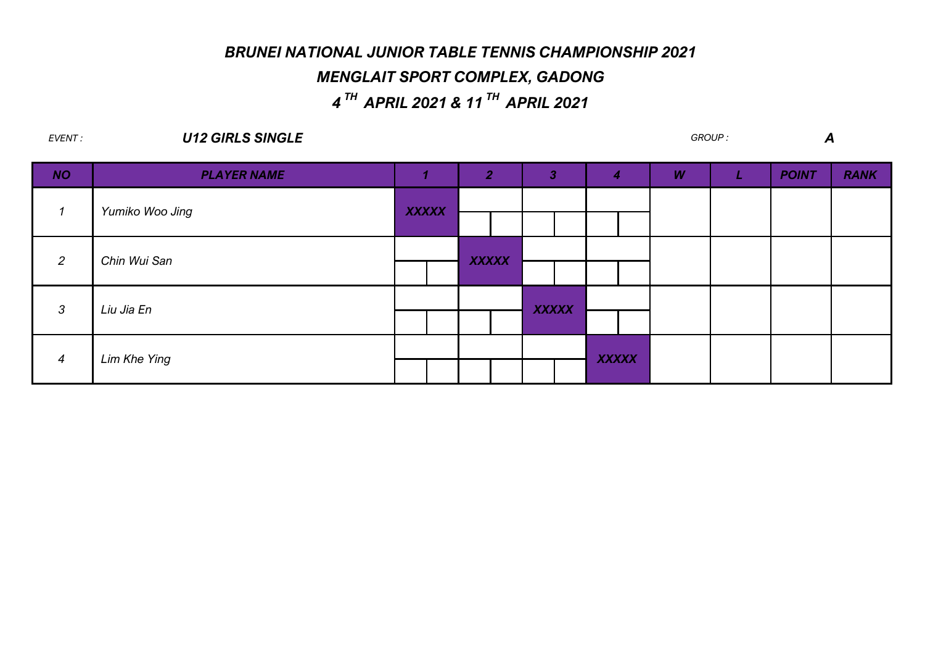| EVENT:           | <b>U12 GIRLS SINGLE</b> |              |                |              |              | GROUP: |   | $\boldsymbol{A}$ |             |
|------------------|-------------------------|--------------|----------------|--------------|--------------|--------|---|------------------|-------------|
| <b>NO</b>        | <b>PLAYER NAME</b>      |              | $\overline{2}$ | 3            | 4            | W      | L | <b>POINT</b>     | <b>RANK</b> |
|                  | Yumiko Woo Jing         | <b>XXXXX</b> |                |              |              |        |   |                  |             |
| $\overline{2}$   | Chin Wui San            |              | <b>XXXXX</b>   |              |              |        |   |                  |             |
| $\mathcal{S}$    | Liu Jia En              |              |                | <b>XXXXX</b> |              |        |   |                  |             |
| $\boldsymbol{4}$ | Lim Khe Ying            |              |                |              | <b>XXXXX</b> |        |   |                  |             |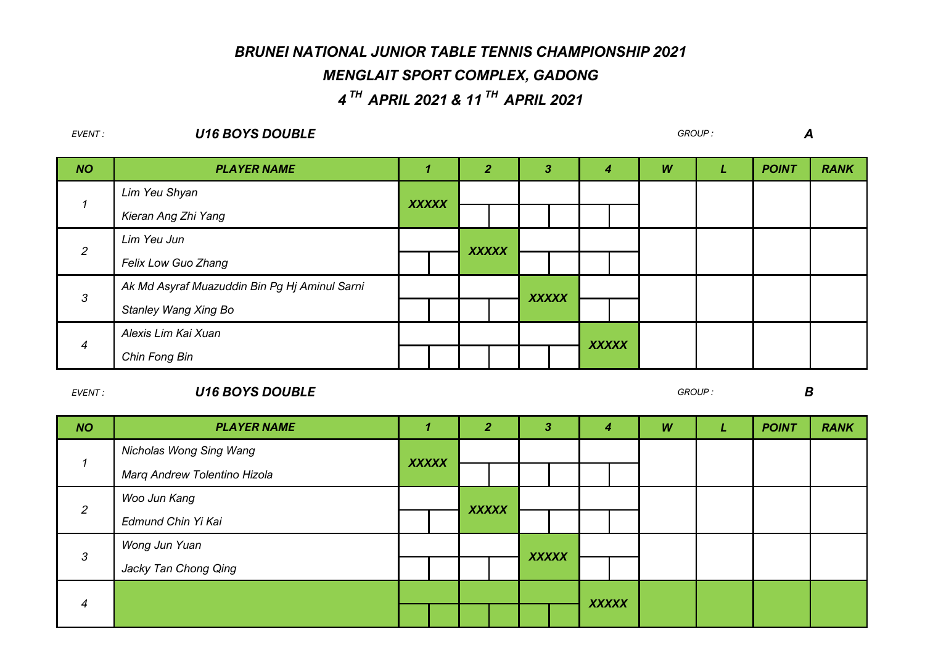*EVENT : U16 BOYS DOUBLE GROUP : A*

| <b>NO</b>      | <b>PLAYER NAME</b>                            |              | 2            | З            | 4            | W | <b>POINT</b> | <b>RANK</b> |
|----------------|-----------------------------------------------|--------------|--------------|--------------|--------------|---|--------------|-------------|
|                | Lim Yeu Shyan                                 | <b>XXXXX</b> |              |              |              |   |              |             |
|                | Kieran Ang Zhi Yang                           |              |              |              |              |   |              |             |
| $\overline{2}$ | Lim Yeu Jun                                   |              | <b>XXXXX</b> |              |              |   |              |             |
|                | Felix Low Guo Zhang                           |              |              |              |              |   |              |             |
|                | Ak Md Asyraf Muazuddin Bin Pg Hj Aminul Sarni |              |              | <b>XXXXX</b> |              |   |              |             |
| 3              | Stanley Wang Xing Bo                          |              |              |              |              |   |              |             |
|                | Alexis Lim Kai Xuan                           |              |              |              | <b>XXXXX</b> |   |              |             |
| 4              | Chin Fong Bin                                 |              |              |              |              |   |              |             |

*EVENT :*

#### *U16 BOYS DOUBLE GROUP :*

*B*

*NO W L POINT RANK Wong Jun Yuan Jacky Tan Chong Qing 1 XXXXX Nicholas Wong Sing Wang Marq Andrew Tolentino Hizola 3 XXXXX 2 XXXXX Woo Jun Kang Edmund Chin Yi Kai 4 XXXXX PLAYER NAME 1 2 3 4*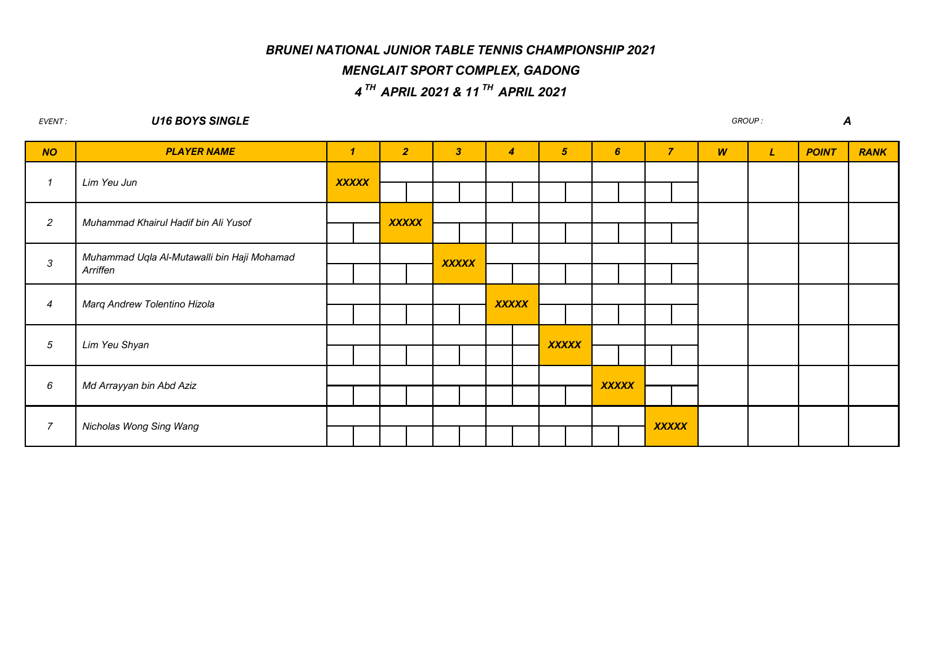## *BRUNEI NATIONAL JUNIOR TABLE TENNIS CHAMPIONSHIP 2021 MENGLAIT SPORT COMPLEX, GADONG*

### *4 TH APRIL 2021 & 11 TH APRIL 2021*

#### *EVENT :*

*U16 BOYS SINGLE GROUP : A*

| <b>NO</b>                | <b>PLAYER NAME</b>                                      | $\mathbf{1}$ | $\overline{2}$ | $\mathbf{3}$ |              | $\overline{4}$ |  | 5 <sup>5</sup> | 6            | $\overline{z}$ | W | L | <b>POINT</b> | <b>RANK</b> |
|--------------------------|---------------------------------------------------------|--------------|----------------|--------------|--------------|----------------|--|----------------|--------------|----------------|---|---|--------------|-------------|
| $\overline{\mathcal{L}}$ | Lim Yeu Jun                                             | <b>XXXXX</b> |                |              |              |                |  |                |              |                |   |   |              |             |
| $\overline{c}$           | Muhammad Khairul Hadif bin Ali Yusof                    |              | <b>XXXXX</b>   |              |              |                |  |                |              |                |   |   |              |             |
| $\mathfrak{3}$           | Muhammad Uqla Al-Mutawalli bin Haji Mohamad<br>Arriffen |              |                |              | <b>XXXXX</b> |                |  |                |              |                |   |   |              |             |
| $\boldsymbol{4}$         | Marq Andrew Tolentino Hizola                            |              |                |              |              | <b>XXXXX</b>   |  |                |              |                |   |   |              |             |
| $\sqrt{5}$               | Lim Yeu Shyan                                           |              |                |              |              |                |  | <b>XXXXX</b>   |              |                |   |   |              |             |
| 6                        | Md Arrayyan bin Abd Aziz                                |              |                |              |              |                |  |                | <b>XXXXX</b> |                |   |   |              |             |
| $\overline{7}$           | Nicholas Wong Sing Wang                                 |              |                |              |              |                |  |                |              | <b>XXXXX</b>   |   |   |              |             |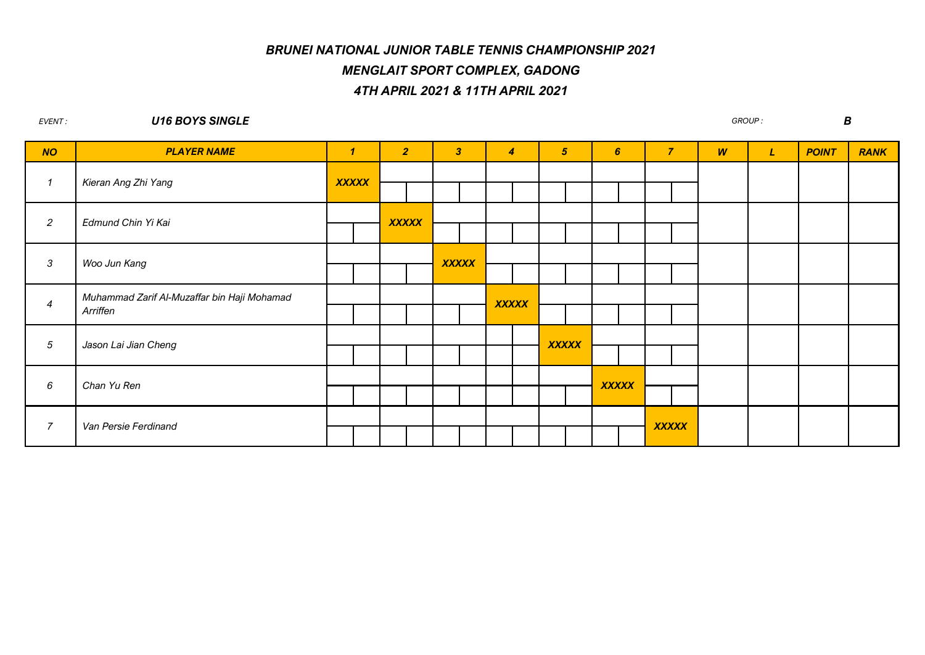#### *EVENT : U16 BOYS SINGLE GROUP : B*

| <b>NO</b>      | <b>PLAYER NAME</b>                                      | $\mathbf{1}$ |  | $\overline{2}$ | $\overline{\mathbf{3}}$ | $\overline{4}$ | $\sqrt{5}$   | $6\overline{6}$ | $\overline{7}$ | W | L | <b>POINT</b> | <b>RANK</b> |
|----------------|---------------------------------------------------------|--------------|--|----------------|-------------------------|----------------|--------------|-----------------|----------------|---|---|--------------|-------------|
| $\mathcal I$   | Kieran Ang Zhi Yang                                     | <b>XXXXX</b> |  |                |                         |                |              |                 |                |   |   |              |             |
| $\overline{2}$ | Edmund Chin Yi Kai                                      |              |  | <b>XXXXX</b>   |                         |                |              |                 |                |   |   |              |             |
| $\mathfrak{Z}$ | Woo Jun Kang                                            |              |  |                | <b>XXXXX</b>            |                |              |                 |                |   |   |              |             |
| $\overline{4}$ | Muhammad Zarif Al-Muzaffar bin Haji Mohamad<br>Arriffen |              |  |                |                         | <b>XXXXX</b>   |              |                 |                |   |   |              |             |
| $\sqrt{5}$     | Jason Lai Jian Cheng                                    |              |  |                |                         |                | <b>XXXXX</b> |                 |                |   |   |              |             |
| 6              | Chan Yu Ren                                             |              |  |                |                         |                |              | <b>XXXXX</b>    |                |   |   |              |             |
| $\overline{7}$ | Van Persie Ferdinand                                    |              |  |                |                         |                |              |                 | <b>XXXXX</b>   |   |   |              |             |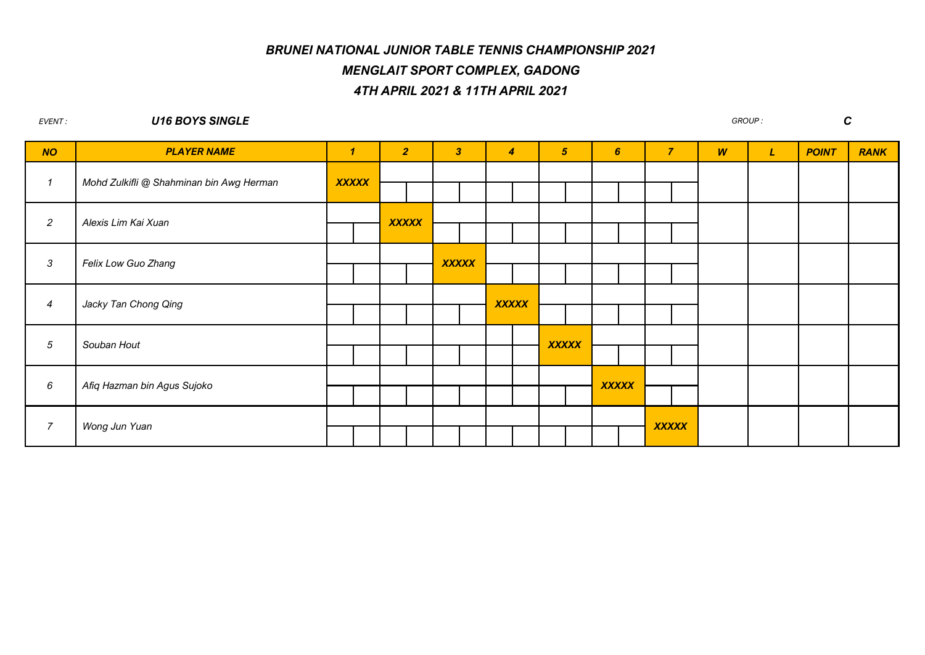#### *EVENT :*

*U16 BOYS SINGLE GROUP : C*

| <b>NO</b>        | <b>PLAYER NAME</b>                       | $\boldsymbol{\eta}$ |  | $\overline{2}$ | 3            | 4            | $\sqrt{5}$   | 6            | $\overline{7}$ | W | L | <b>POINT</b> | <b>RANK</b> |
|------------------|------------------------------------------|---------------------|--|----------------|--------------|--------------|--------------|--------------|----------------|---|---|--------------|-------------|
| $\mathbf{1}$     | Mohd Zulkifli @ Shahminan bin Awg Herman | <b>XXXXX</b>        |  |                |              |              |              |              |                |   |   |              |             |
| $\overline{2}$   | Alexis Lim Kai Xuan                      |                     |  | <b>XXXXX</b>   |              |              |              |              |                |   |   |              |             |
| $\mathfrak{Z}$   | Felix Low Guo Zhang                      |                     |  |                | <b>XXXXX</b> |              |              |              |                |   |   |              |             |
| $\boldsymbol{4}$ | Jacky Tan Chong Qing                     |                     |  |                |              | <b>XXXXX</b> |              |              |                |   |   |              |             |
| $\sqrt{5}$       | Souban Hout                              |                     |  |                |              |              | <b>XXXXX</b> |              |                |   |   |              |             |
| $\epsilon$       | Afiq Hazman bin Agus Sujoko              |                     |  |                |              |              |              | <b>XXXXX</b> |                |   |   |              |             |
| $\overline{7}$   | Wong Jun Yuan                            |                     |  |                |              |              |              |              | <b>XXXXX</b>   |   |   |              |             |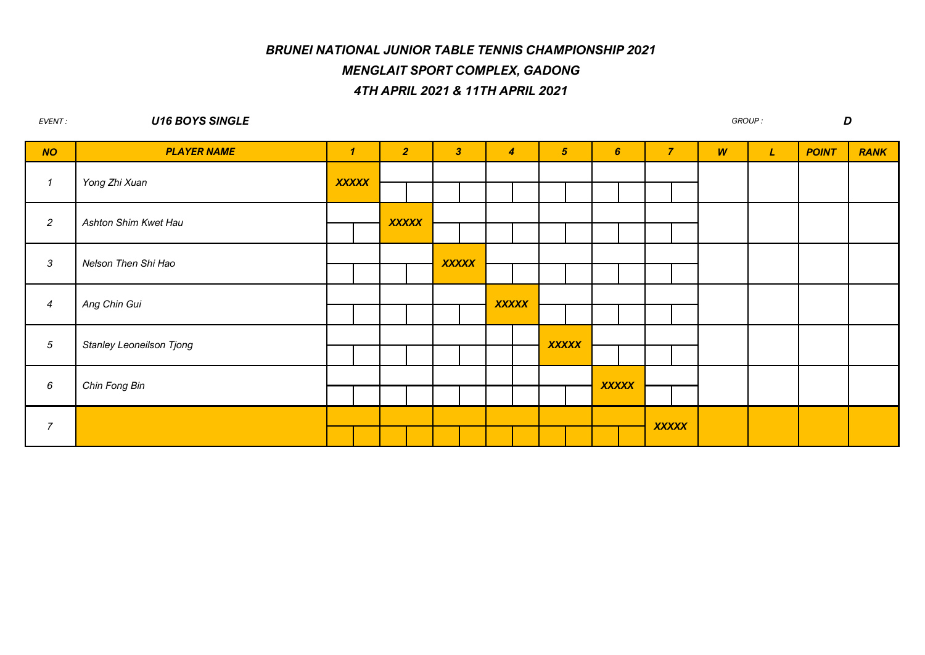#### *EVENT : U16 BOYS SINGLE GROUP : D*

| <b>NO</b>      | <b>PLAYER NAME</b>       | $\boldsymbol{\mathcal{L}}$ | $\overline{2}$ |  | 3 <sup>1</sup> | $\overline{\mathbf{4}}$ | $\sqrt{5}$   | $6\phantom{1}6$ | $\overline{7}$ | W | $\mathbf{L}$ | <b>POINT</b> | <b>RANK</b> |
|----------------|--------------------------|----------------------------|----------------|--|----------------|-------------------------|--------------|-----------------|----------------|---|--------------|--------------|-------------|
| $\mathcal I$   | Yong Zhi Xuan            | <b>XXXXX</b>               |                |  |                |                         |              |                 |                |   |              |              |             |
| $\overline{a}$ | Ashton Shim Kwet Hau     |                            | <b>XXXXX</b>   |  |                |                         |              |                 |                |   |              |              |             |
| $\mathfrak{Z}$ | Nelson Then Shi Hao      |                            |                |  | <b>XXXXX</b>   |                         |              |                 |                |   |              |              |             |
| $\overline{4}$ | Ang Chin Gui             |                            |                |  |                | <b>XXXXX</b>            |              |                 |                |   |              |              |             |
| 5              | Stanley Leoneilson Tjong |                            |                |  |                |                         | <b>XXXXX</b> |                 |                |   |              |              |             |
| $\epsilon$     | Chin Fong Bin            |                            |                |  |                |                         |              | <b>XXXXX</b>    |                |   |              |              |             |
| $\overline{7}$ |                          |                            |                |  |                |                         |              |                 | <b>XXXXX</b>   |   |              |              |             |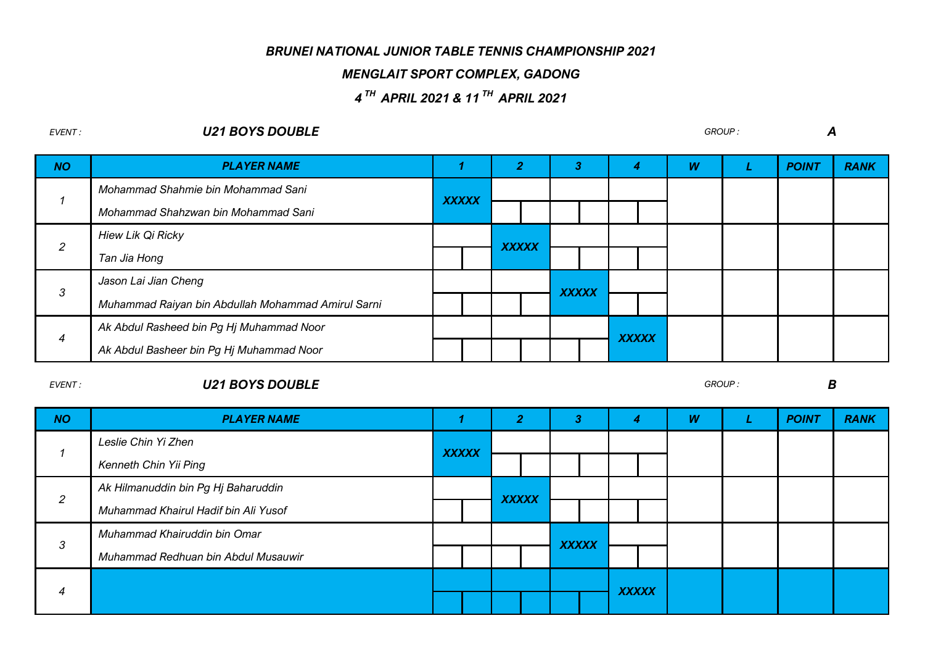#### *BRUNEI NATIONAL JUNIOR TABLE TENNIS CHAMPIONSHIP 2021*

#### *MENGLAIT SPORT COMPLEX, GADONG*

## *4 TH APRIL 2021 & 11 TH APRIL 2021*

*EVENT :*

#### *U21 BOYS DOUBLE GROUP : A*

| <b>NO</b> | <b>PLAYER NAME</b>                                 |              |              |              |              | W | <b>POINT</b> | <b>RANK</b> |
|-----------|----------------------------------------------------|--------------|--------------|--------------|--------------|---|--------------|-------------|
|           | Mohammad Shahmie bin Mohammad Sani                 | <b>XXXXX</b> |              |              |              |   |              |             |
|           | Mohammad Shahzwan bin Mohammad Sani                |              |              |              |              |   |              |             |
|           | Hiew Lik Qi Ricky                                  |              | <b>XXXXX</b> |              |              |   |              |             |
|           | Tan Jia Hong                                       |              |              |              |              |   |              |             |
| 3         | Jason Lai Jian Cheng                               |              |              | <b>XXXXX</b> |              |   |              |             |
|           | Muhammad Raiyan bin Abdullah Mohammad Amirul Sarni |              |              |              |              |   |              |             |
|           | Ak Abdul Rasheed bin Pg Hj Muhammad Noor           |              |              |              | <b>XXXXX</b> |   |              |             |
| 4         | Ak Abdul Basheer bin Pg Hj Muhammad Noor           |              |              |              |              |   |              |             |

*EVENT :*

#### *U21 BOYS DOUBLE GROUP : B*

| <b>NO</b>     | <b>PLAYER NAME</b>                   |              |              |              | 4            | W | <b>POINT</b> | <b>RANK</b> |
|---------------|--------------------------------------|--------------|--------------|--------------|--------------|---|--------------|-------------|
|               | Leslie Chin Yi Zhen                  | <b>XXXXX</b> |              |              |              |   |              |             |
|               | Kenneth Chin Yii Ping                |              |              |              |              |   |              |             |
| $\mathcal{P}$ | Ak Hilmanuddin bin Pg Hj Baharuddin  |              | <b>XXXXX</b> |              |              |   |              |             |
|               | Muhammad Khairul Hadif bin Ali Yusof |              |              |              |              |   |              |             |
|               | Muhammad Khairuddin bin Omar         |              |              |              |              |   |              |             |
| 3             | Muhammad Redhuan bin Abdul Musauwir  |              |              | <b>XXXXX</b> |              |   |              |             |
|               |                                      |              |              |              | <b>XXXXX</b> |   |              |             |
|               |                                      |              |              |              |              |   |              |             |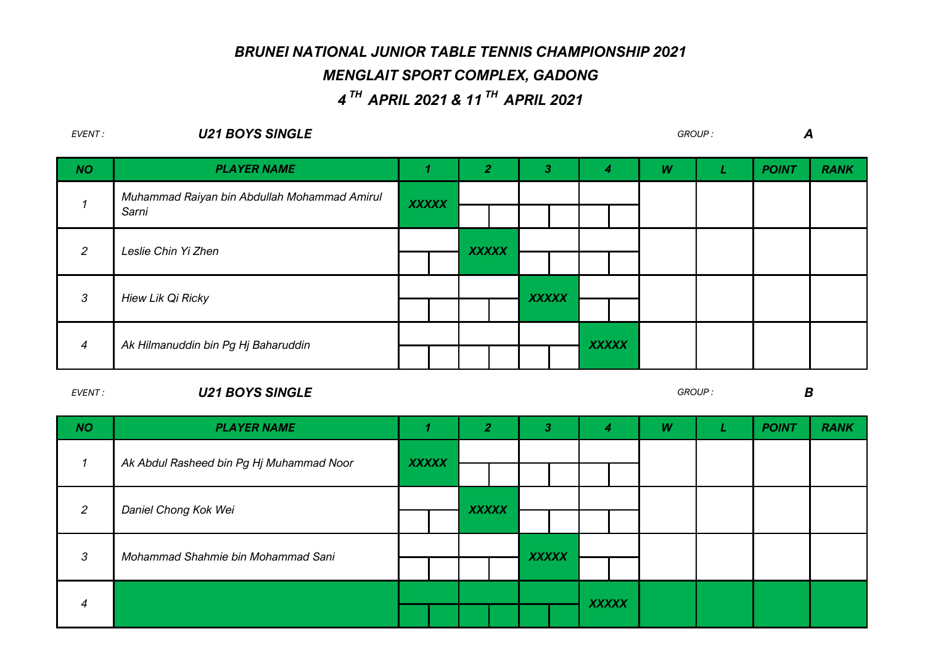*EVENT : U21 BOYS SINGLE GROUP : A*

| <b>NO</b>      | <b>PLAYER NAME</b>                                    |              | $\overline{2}$ | 3            | 4            | W | <b>POINT</b> | <b>RANK</b> |
|----------------|-------------------------------------------------------|--------------|----------------|--------------|--------------|---|--------------|-------------|
|                | Muhammad Raiyan bin Abdullah Mohammad Amirul<br>Sarni | <b>XXXXX</b> |                |              |              |   |              |             |
|                |                                                       |              |                |              |              |   |              |             |
|                |                                                       |              |                |              |              |   |              |             |
| $\overline{2}$ | Leslie Chin Yi Zhen                                   |              | <b>XXXXX</b>   |              |              |   |              |             |
|                |                                                       |              |                |              |              |   |              |             |
| 3              | Hiew Lik Qi Ricky                                     |              |                | <b>XXXXX</b> |              |   |              |             |
|                |                                                       |              |                |              |              |   |              |             |
| $\overline{4}$ | Ak Hilmanuddin bin Pg Hj Baharuddin                   |              |                |              | <b>XXXXX</b> |   |              |             |

*EVENT :*

### *U21 BOYS SINGLE GROUP : B*

*NO W L POINT RANK 4 XXXXX 3 Mohammad Shahmie bin Mohammad Sani XXXXX 2 Daniel Chong Kok Wei XXXXX 1 Ak Abdul Rasheed bin Pg Hj Muhammad Noor XXXXX PLAYER NAME 1 2 3 4*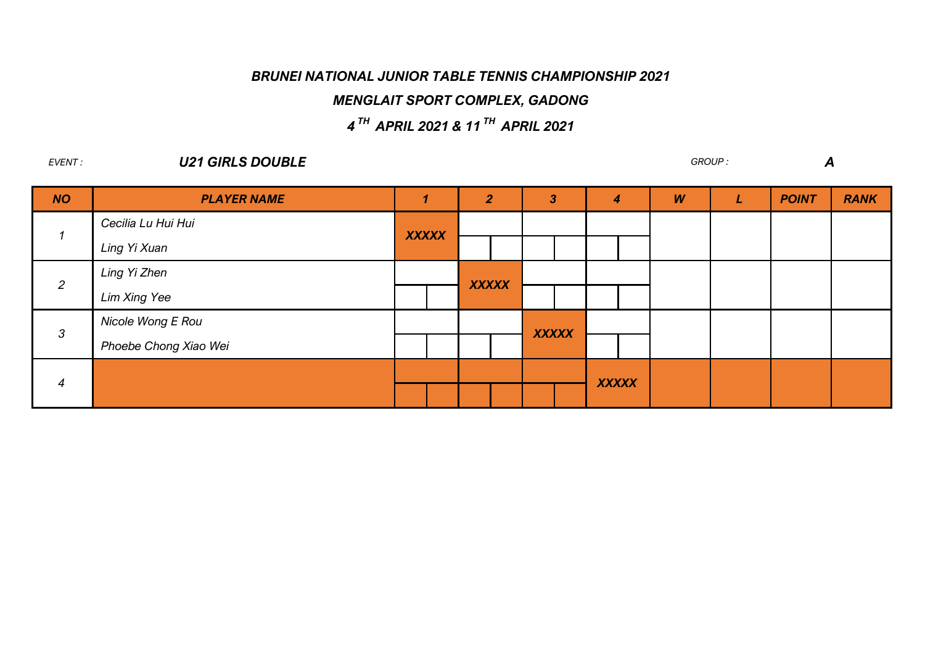### *BRUNEI NATIONAL JUNIOR TABLE TENNIS CHAMPIONSHIP 2021*

### *MENGLAIT SPORT COMPLEX, GADONG*

## *4 TH APRIL 2021 & 11 TH APRIL 2021*

*EVENT : U21 GIRLS DOUBLE GROUP : A*

| <b>NO</b>      | <b>PLAYER NAME</b>    |              | 2            | 3            | 4            | W | <b>POINT</b> | <b>RANK</b> |
|----------------|-----------------------|--------------|--------------|--------------|--------------|---|--------------|-------------|
|                | Cecilia Lu Hui Hui    | <b>XXXXX</b> |              |              |              |   |              |             |
|                | Ling Yi Xuan          |              |              |              |              |   |              |             |
|                | Ling Yi Zhen          |              | <b>XXXXX</b> |              |              |   |              |             |
| $\overline{2}$ | Lim Xing Yee          |              |              |              |              |   |              |             |
|                | Nicole Wong E Rou     |              |              | <b>XXXXX</b> |              |   |              |             |
| 3              | Phoebe Chong Xiao Wei |              |              |              |              |   |              |             |
|                |                       |              |              |              | <b>XXXXX</b> |   |              |             |
| 4              |                       |              |              |              |              |   |              |             |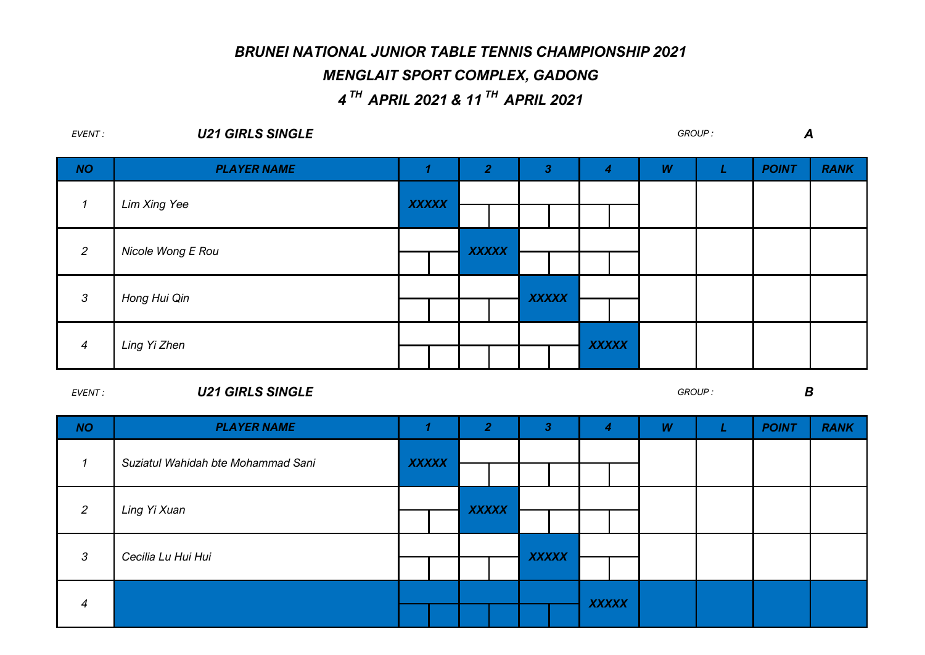*EVENT : NO W L POINT RANK 4 Ling Yi Zhen 3 Hong Hui Qin XXXXX XXXXX 2 Nicole Wong E Rou XXXXX 1 Lim Xing Yee XXXXX U21 GIRLS SINGLE GROUP : A PLAYER NAME 1 2 3 4*

*EVENT :*

### *U21 GIRLS SINGLE GROUP : B*

*NO W L POINT RANK 4 XXXXX 3 Cecilia Lu Hui Hui XXXXX 2 Ling Yi Xuan XXXXX 1 Suziatul Wahidah bte Mohammad Sani XXXXX PLAYER NAME 1 2 3 4*